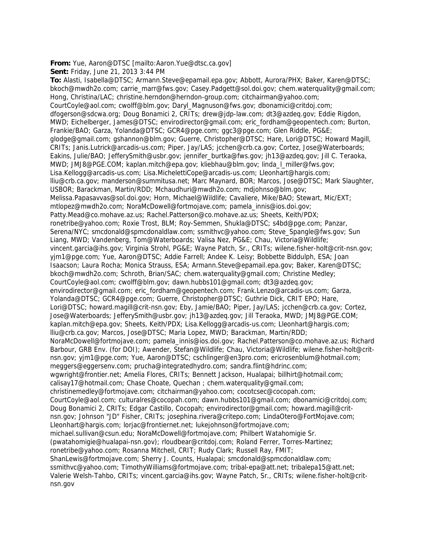**From:** Yue, Aaron@DTSC [mailto:Aaron.Yue@dtsc.ca.gov]

**Sent:** Friday, June 21, 2013 3:44 PM

**To:** Alasti, Isabella@DTSC; Armann.Steve@epamail.epa.gov; Abbott, Aurora/PHX; Baker, Karen@DTSC; bkoch@mwdh2o.com; carrie\_marr@fws.gov; Casey.Padgett@sol.doi.gov; chem.waterquality@gmail.com; Hong, Christina/LAC; christine.herndon@herndon-group.com; citchairman@yahoo.com; CourtCoyle@aol.com; cwolff@blm.gov; Daryl\_Magnuson@fws.gov; dbonamici@critdoj.com; dfogerson@sdcwa.org; Doug Bonamici 2, CRITs; drew@jdp-law.com; dt3@azdeq.gov; Eddie Rigdon, MWD; Eichelberger, James@DTSC; envirodirector@gmail.com; eric\_fordham@geopentech.com; Burton, Frankie/BAO; Garza, Yolanda@DTSC; GCR4@pge.com; ggc3@pge.com; Glen Riddle, PG&E; glodge@gmail.com; gshannon@blm.gov; Guerre, Christopher@DTSC; Hare, Lori@DTSC; Howard Magill, CRITs; Janis.Lutrick@arcadis-us.com; Piper, Jay/LAS; jcchen@crb.ca.gov; Cortez, Jose@Waterboards; Eakins, Julie/BAO; JefferySmith@usbr.gov; jennifer\_burtka@fws.gov; jh13@azdeq.gov; Jill C. Teraoka, MWD; JMJ8@PGE.COM; kaplan.mitch@epa.gov; kliebhau@blm.gov; linda\_l\_miller@fws.gov; Lisa.Kellogg@arcadis-us.com; Lisa.MichelettiCope@arcadis-us.com; Lleonhart@hargis.com; lliu@crb.ca.gov; manderson@summitusa.net; Marc Maynard, BOR; Marcos, Jose@DTSC; Mark Slaughter, USBOR; Barackman, Martin/RDD; Mchaudhuri@mwdh2o.com; mdjohnso@blm.gov; Melissa.Papasavvas@sol.doi.gov; Horn, Michael@Wildlife; Cavaliere, Mike/BAO; Stewart, Mic/EXT; mtlopez@mwdh2o.com; NoraMcDowell@fortmojave.com; pamela\_innis@ios.doi.gov; Patty.Mead@co.mohave.az.us; Rachel.Patterson@co.mohave.az.us; Sheets, Keith/PDX; ronetribe@yahoo.com; Roxie Trost, BLM; Roy-Semmen, Shukla@DTSC; s4bd@pge.com; Panzar, Serena/NYC; smcdonald@spmcdonaldlaw.com; ssmithvc@yahoo.com; Steve\_Spangle@fws.gov; Sun Liang, MWD; Vandenberg, Tom@Waterboards; Valisa Nez, PG&E; Chau, Victoria@Wildlife; vincent.garcia@ihs.gov; Virginia Strohl, PG&E; Wayne Patch, Sr., CRITs; wilene.fisher-holt@crit-nsn.gov; yjm1@pge.com; Yue, Aaron@DTSC; Addie Farrell; Andee K. Leisy; Bobbette Biddulph, ESA; Joan Isaacson; Laura Rocha; Monica Strauss, ESA; Armann.Steve@epamail.epa.gov; Baker, Karen@DTSC; bkoch@mwdh2o.com; Schroth, Brian/SAC; chem.waterquality@gmail.com; Christine Medley; CourtCoyle@aol.com; cwolff@blm.gov; dawn.hubbs101@gmail.com; dt3@azdeq.gov; envirodirector@gmail.com; eric\_fordham@geopentech.com; Frank.Lenzo@arcadis-us.com; Garza, Yolanda@DTSC; GCR4@pge.com; Guerre, Christopher@DTSC; Guthrie Dick, CRIT EPO; Hare, Lori@DTSC; howard.magill@crit-nsn.gov; Eby, Jamie/BAO; Piper, Jay/LAS; jcchen@crb.ca.gov; Cortez, Jose@Waterboards; JefferySmith@usbr.gov; jh13@azdeq.gov; Jill Teraoka, MWD; JMJ8@PGE.COM; kaplan.mitch@epa.gov; Sheets, Keith/PDX; Lisa.Kellogg@arcadis-us.com; Lleonhart@hargis.com; lliu@crb.ca.gov; Marcos, Jose@DTSC; Maria Lopez, MWD; Barackman, Martin/RDD; NoraMcDowell@fortmojave.com; pamela\_innis@ios.doi.gov; Rachel.Patterson@co.mohave.az.us; Richard Barbour, GRB Env. (for DOI); Awender, Stefan@Wildlife; Chau, Victoria@Wildlife; wilene.fisher-holt@critnsn.gov; yjm1@pge.com; Yue, Aaron@DTSC; cschlinger@en3pro.com; ericrosenblum@hotmail.com; meggers@eggersenv.com; prucha@integratedhydro.com; sandra.flint@hdrinc.com; wgwright@frontier.net; Amelia Flores, CRITs; Bennett Jackson, Hualapai; billhirt@hotmail.com; calisay17@hotmail.com; Chase Choate, Quechan ; chem.waterquality@gmail.com; christinemedley@fortmojave.com; citchairman@yahoo.com; cocotcsec@cocopah.com; CourtCoyle@aol.com; culturalres@cocopah.com; dawn.hubbs101@gmail.com; dbonamici@critdoj.com; Doug Bonamici 2, CRITs; Edgar Castillo, Cocopah; envirodirector@gmail.com; howard.magill@critnsn.gov; Johnson "JD" Fisher, CRITs; josephina.rivera@critepo.com; LindaOtero@FortMojave.com; Lleonhart@hargis.com; lorjac@frontiernet.net; lukejohnson@fortmojave.com; michael.sullivan@csun.edu; NoraMcDowell@fortmojave.com; Philbert Watahomigie Sr. (pwatahomigie@hualapai-nsn.gov); rloudbear@critdoj.com; Roland Ferrer, Torres-Martinez; ronetribe@yahoo.com; Rosanna Mitchell, CRIT; Rudy Clark; Russell Ray, FMIT; ShanLewis@fortmojave.com; Sherry J. Counts, Hualapai; smcdonald@spmcdonaldlaw.com; ssmithvc@yahoo.com; TimothyWilliams@fortmojave.com; tribal-epa@att.net; tribalepa15@att.net; Valerie Welsh-Tahbo, CRITs; vincent.garcia@ihs.gov; Wayne Patch, Sr., CRITs; wilene.fisher-holt@critnsn.gov